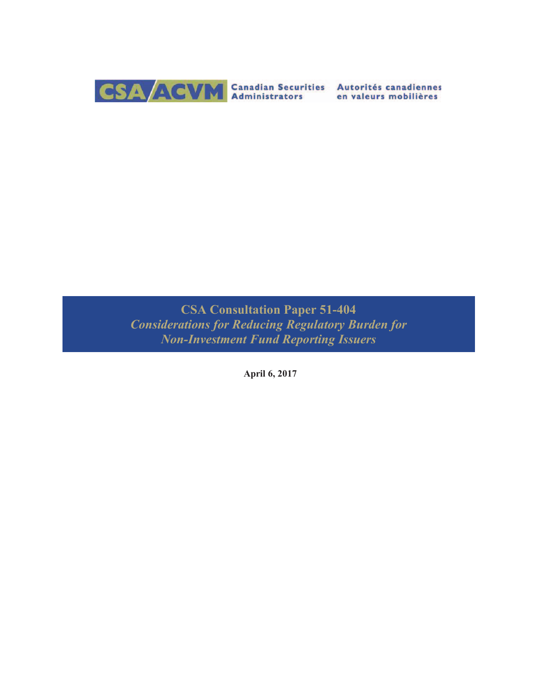

**CSA Consultation Paper 51-404** *Considerations for Reducing Regulatory Burden for Non-Investment Fund Reporting Issuers*

**April 6, 2017**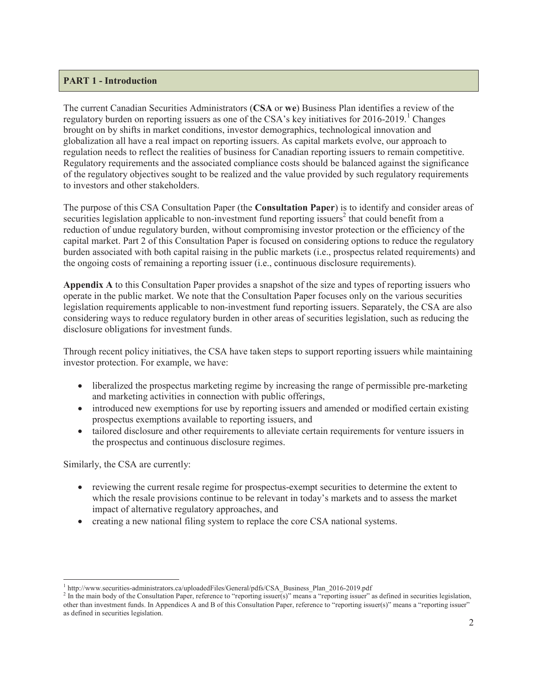## **PART 1 - Introduction**

The current Canadian Securities Administrators (**CSA** or **we**) Business Plan identifies a review of the regulatory burden on reporting issuers as one of the CSA's key initiatives for  $2016-2019$ .<sup>1</sup> Changes brought on by shifts in market conditions, investor demographics, technological innovation and globalization all have a real impact on reporting issuers. As capital markets evolve, our approach to regulation needs to reflect the realities of business for Canadian reporting issuers to remain competitive. Regulatory requirements and the associated compliance costs should be balanced against the significance of the regulatory objectives sought to be realized and the value provided by such regulatory requirements to investors and other stakeholders.

The purpose of this CSA Consultation Paper (the **Consultation Paper**) is to identify and consider areas of securities legislation applicable to non-investment fund reporting issuers<sup>2</sup> that could benefit from a reduction of undue regulatory burden, without compromising investor protection or the efficiency of the capital market. Part 2 of this Consultation Paper is focused on considering options to reduce the regulatory burden associated with both capital raising in the public markets (i.e., prospectus related requirements) and the ongoing costs of remaining a reporting issuer (i.e., continuous disclosure requirements).

**Appendix A** to this Consultation Paper provides a snapshot of the size and types of reporting issuers who operate in the public market. We note that the Consultation Paper focuses only on the various securities legislation requirements applicable to non-investment fund reporting issuers. Separately, the CSA are also considering ways to reduce regulatory burden in other areas of securities legislation, such as reducing the disclosure obligations for investment funds.

Through recent policy initiatives, the CSA have taken steps to support reporting issuers while maintaining investor protection. For example, we have:

- liberalized the prospectus marketing regime by increasing the range of permissible pre-marketing and marketing activities in connection with public offerings,
- introduced new exemptions for use by reporting issuers and amended or modified certain existing prospectus exemptions available to reporting issuers, and
- tailored disclosure and other requirements to alleviate certain requirements for venture issuers in the prospectus and continuous disclosure regimes.

Similarly, the CSA are currently:

- reviewing the current resale regime for prospectus-exempt securities to determine the extent to which the resale provisions continue to be relevant in today's markets and to assess the market impact of alternative regulatory approaches, and
- creating a new national filing system to replace the core CSA national systems.

<sup>&</sup>lt;sup>1</sup> http://www.securities-administrators.ca/uploadedFiles/General/pdfs/CSA\_Business\_Plan\_2016-2019.pdf

<sup>&</sup>lt;sup>2</sup> In the main body of the Consultation Paper, reference to "reporting issuer(s)" means a "reporting issuer" as defined in securities legislation, other than investment funds. In Appendices A and B of this Consultation Paper, reference to "reporting issuer(s)" means a "reporting issuer" as defined in securities legislation.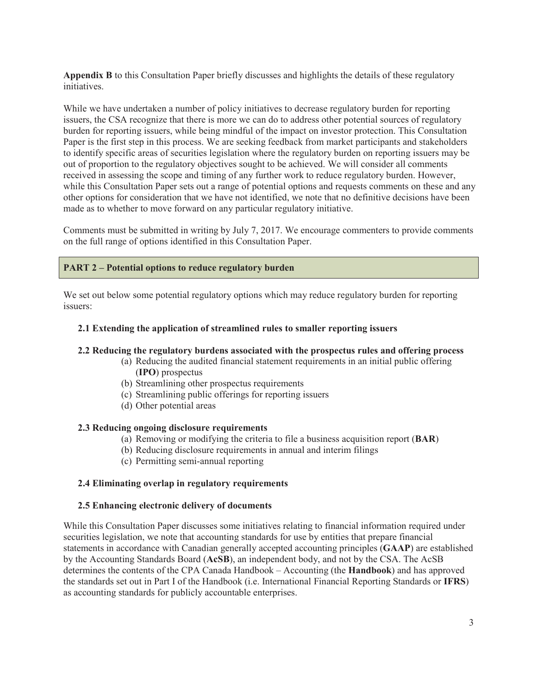**Appendix B** to this Consultation Paper briefly discusses and highlights the details of these regulatory initiatives.

While we have undertaken a number of policy initiatives to decrease regulatory burden for reporting issuers, the CSA recognize that there is more we can do to address other potential sources of regulatory burden for reporting issuers, while being mindful of the impact on investor protection. This Consultation Paper is the first step in this process. We are seeking feedback from market participants and stakeholders to identify specific areas of securities legislation where the regulatory burden on reporting issuers may be out of proportion to the regulatory objectives sought to be achieved. We will consider all comments received in assessing the scope and timing of any further work to reduce regulatory burden. However, while this Consultation Paper sets out a range of potential options and requests comments on these and any other options for consideration that we have not identified, we note that no definitive decisions have been made as to whether to move forward on any particular regulatory initiative.

Comments must be submitted in writing by July 7, 2017. We encourage commenters to provide comments on the full range of options identified in this Consultation Paper.

## **PART 2 – Potential options to reduce regulatory burden**

We set out below some potential regulatory options which may reduce regulatory burden for reporting issuers:

#### **2.1 Extending the application of streamlined rules to smaller reporting issuers**

#### **2.2 Reducing the regulatory burdens associated with the prospectus rules and offering process**

- (a) Reducing the audited financial statement requirements in an initial public offering (**IPO**) prospectus
- (b) Streamlining other prospectus requirements
- (c) Streamlining public offerings for reporting issuers
- (d) Other potential areas

#### **2.3 Reducing ongoing disclosure requirements**

- (a) Removing or modifying the criteria to file a business acquisition report (**BAR**)
- (b) Reducing disclosure requirements in annual and interim filings
- (c) Permitting semi-annual reporting

#### **2.4 Eliminating overlap in regulatory requirements**

#### **2.5 Enhancing electronic delivery of documents**

While this Consultation Paper discusses some initiatives relating to financial information required under securities legislation, we note that accounting standards for use by entities that prepare financial statements in accordance with Canadian generally accepted accounting principles (**GAAP**) are established by the Accounting Standards Board (**AcSB**), an independent body, and not by the CSA. The AcSB determines the contents of the CPA Canada Handbook – Accounting (the **Handbook**) and has approved the standards set out in Part I of the Handbook (i.e. International Financial Reporting Standards or **IFRS**) as accounting standards for publicly accountable enterprises.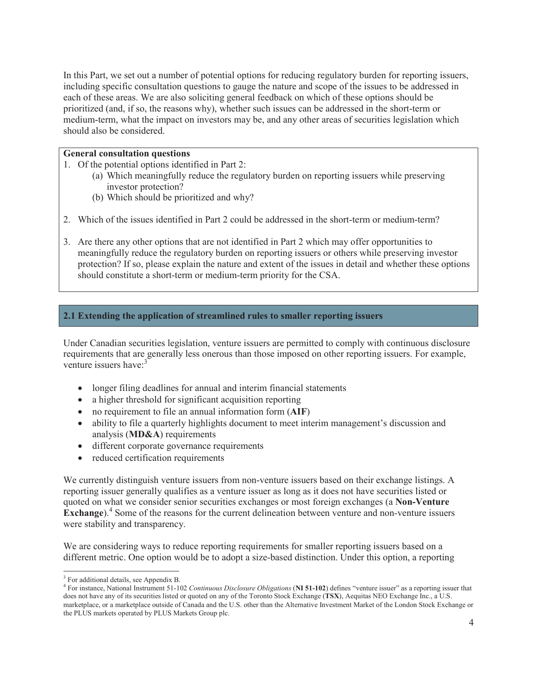In this Part, we set out a number of potential options for reducing regulatory burden for reporting issuers, including specific consultation questions to gauge the nature and scope of the issues to be addressed in each of these areas. We are also soliciting general feedback on which of these options should be prioritized (and, if so, the reasons why), whether such issues can be addressed in the short-term or medium-term, what the impact on investors may be, and any other areas of securities legislation which should also be considered.

#### **General consultation questions**

- 1. Of the potential options identified in Part 2:
	- (a) Which meaningfully reduce the regulatory burden on reporting issuers while preserving investor protection?
	- (b) Which should be prioritized and why?
- 2. Which of the issues identified in Part 2 could be addressed in the short-term or medium-term?
- 3. Are there any other options that are not identified in Part 2 which may offer opportunities to meaningfully reduce the regulatory burden on reporting issuers or others while preserving investor protection? If so, please explain the nature and extent of the issues in detail and whether these options should constitute a short-term or medium-term priority for the CSA.

## **2.1 Extending the application of streamlined rules to smaller reporting issuers**

Under Canadian securities legislation, venture issuers are permitted to comply with continuous disclosure requirements that are generally less onerous than those imposed on other reporting issuers. For example, venture issuers have:<sup>3</sup>

- longer filing deadlines for annual and interim financial statements
- $\bullet$  a higher threshold for significant acquisition reporting
- no requirement to file an annual information form (AIF)
- ability to file a quarterly highlights document to meet interim management's discussion and analysis (**MD&A**) requirements
- different corporate governance requirements
- reduced certification requirements

We currently distinguish venture issuers from non-venture issuers based on their exchange listings. A reporting issuer generally qualifies as a venture issuer as long as it does not have securities listed or quoted on what we consider senior securities exchanges or most foreign exchanges (a **Non-Venture Exchange**).<sup>4</sup> Some of the reasons for the current delineation between venture and non-venture issuers were stability and transparency.

We are considering ways to reduce reporting requirements for smaller reporting issuers based on a different metric. One option would be to adopt a size-based distinction. Under this option, a reporting

 $3$  For additional details, see Appendix B.

<sup>4</sup> For instance, National Instrument 51-102 *Continuous Disclosure Obligations* (**NI 51-102**) defines "venture issuer" as a reporting issuer that does not have any of its securities listed or quoted on any of the Toronto Stock Exchange (**TSX**), Aequitas NEO Exchange Inc., a U.S. marketplace, or a marketplace outside of Canada and the U.S. other than the Alternative Investment Market of the London Stock Exchange or the PLUS markets operated by PLUS Markets Group plc.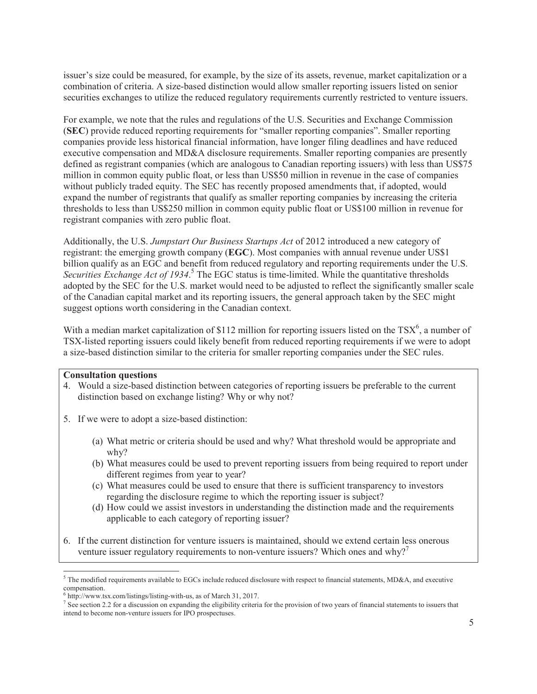issuer's size could be measured, for example, by the size of its assets, revenue, market capitalization or a combination of criteria. A size-based distinction would allow smaller reporting issuers listed on senior securities exchanges to utilize the reduced regulatory requirements currently restricted to venture issuers.

For example, we note that the rules and regulations of the U.S. Securities and Exchange Commission (**SEC**) provide reduced reporting requirements for "smaller reporting companies". Smaller reporting companies provide less historical financial information, have longer filing deadlines and have reduced executive compensation and MD&A disclosure requirements. Smaller reporting companies are presently defined as registrant companies (which are analogous to Canadian reporting issuers) with less than US\$75 million in common equity public float, or less than US\$50 million in revenue in the case of companies without publicly traded equity. The SEC has recently proposed amendments that, if adopted, would expand the number of registrants that qualify as smaller reporting companies by increasing the criteria thresholds to less than US\$250 million in common equity public float or US\$100 million in revenue for registrant companies with zero public float.

Additionally, the U.S. *Jumpstart Our Business Startups Act* of 2012 introduced a new category of registrant: the emerging growth company (**EGC**). Most companies with annual revenue under US\$1 billion qualify as an EGC and benefit from reduced regulatory and reporting requirements under the U.S. Securities Exchange Act of 1934.<sup>5</sup> The EGC status is time-limited. While the quantitative thresholds adopted by the SEC for the U.S. market would need to be adjusted to reflect the significantly smaller scale of the Canadian capital market and its reporting issuers, the general approach taken by the SEC might suggest options worth considering in the Canadian context.

With a median market capitalization of \$112 million for reporting issuers listed on the TSX<sup>6</sup>, a number of TSX-listed reporting issuers could likely benefit from reduced reporting requirements if we were to adopt a size-based distinction similar to the criteria for smaller reporting companies under the SEC rules.

#### **Consultation questions**

- 4. Would a size-based distinction between categories of reporting issuers be preferable to the current distinction based on exchange listing? Why or why not?
- 5. If we were to adopt a size-based distinction:
	- (a) What metric or criteria should be used and why? What threshold would be appropriate and why?
	- (b) What measures could be used to prevent reporting issuers from being required to report under different regimes from year to year?
	- (c) What measures could be used to ensure that there is sufficient transparency to investors regarding the disclosure regime to which the reporting issuer is subject?
	- (d) How could we assist investors in understanding the distinction made and the requirements applicable to each category of reporting issuer?
- 6. If the current distinction for venture issuers is maintained, should we extend certain less onerous venture issuer regulatory requirements to non-venture issuers? Which ones and  $why$ ?<sup>7</sup>

 $5$  The modified requirements available to EGCs include reduced disclosure with respect to financial statements, MD&A, and executive compensation.

<sup>6</sup> http://www.tsx.com/listings/listing-with-us, as of March 31, 2017.

 $<sup>7</sup>$  See section 2.2 for a discussion on expanding the eligibility criteria for the provision of two years of financial statements to issuers that</sup> intend to become non-venture issuers for IPO prospectuses.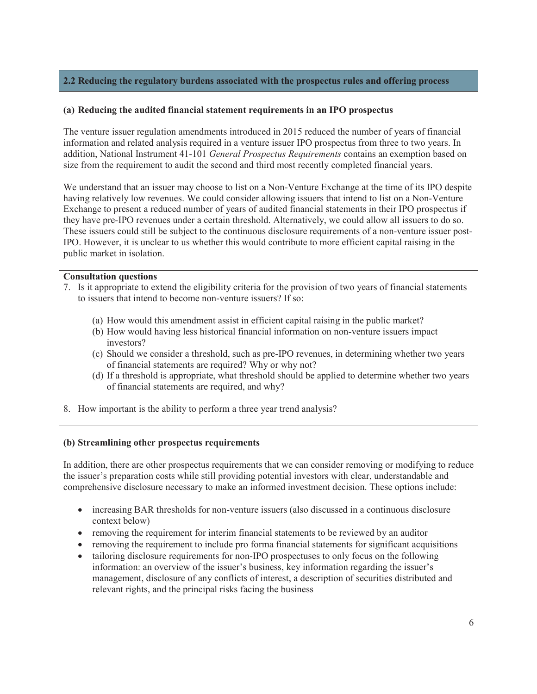## **2.2 Reducing the regulatory burdens associated with the prospectus rules and offering process**

## **(a) Reducing the audited financial statement requirements in an IPO prospectus**

The venture issuer regulation amendments introduced in 2015 reduced the number of years of financial information and related analysis required in a venture issuer IPO prospectus from three to two years. In addition, National Instrument 41-101 *General Prospectus Requirements* contains an exemption based on size from the requirement to audit the second and third most recently completed financial years.

We understand that an issuer may choose to list on a Non-Venture Exchange at the time of its IPO despite having relatively low revenues. We could consider allowing issuers that intend to list on a Non-Venture Exchange to present a reduced number of years of audited financial statements in their IPO prospectus if they have pre-IPO revenues under a certain threshold. Alternatively, we could allow all issuers to do so. These issuers could still be subject to the continuous disclosure requirements of a non-venture issuer post-IPO. However, it is unclear to us whether this would contribute to more efficient capital raising in the public market in isolation.

#### **Consultation questions**

- 7. Is it appropriate to extend the eligibility criteria for the provision of two years of financial statements to issuers that intend to become non-venture issuers? If so:
	- (a) How would this amendment assist in efficient capital raising in the public market?
	- (b) How would having less historical financial information on non-venture issuers impact investors?
	- (c) Should we consider a threshold, such as pre-IPO revenues, in determining whether two years of financial statements are required? Why or why not?
	- (d) If a threshold is appropriate, what threshold should be applied to determine whether two years of financial statements are required, and why?
- 8. How important is the ability to perform a three year trend analysis?

## **(b) Streamlining other prospectus requirements**

In addition, there are other prospectus requirements that we can consider removing or modifying to reduce the issuer's preparation costs while still providing potential investors with clear, understandable and comprehensive disclosure necessary to make an informed investment decision. These options include:

- increasing BAR thresholds for non-venture issuers (also discussed in a continuous disclosure context below)
- removing the requirement for interim financial statements to be reviewed by an auditor
- removing the requirement to include pro forma financial statements for significant acquisitions
- tailoring disclosure requirements for non-IPO prospectuses to only focus on the following information: an overview of the issuer's business, key information regarding the issuer's management, disclosure of any conflicts of interest, a description of securities distributed and relevant rights, and the principal risks facing the business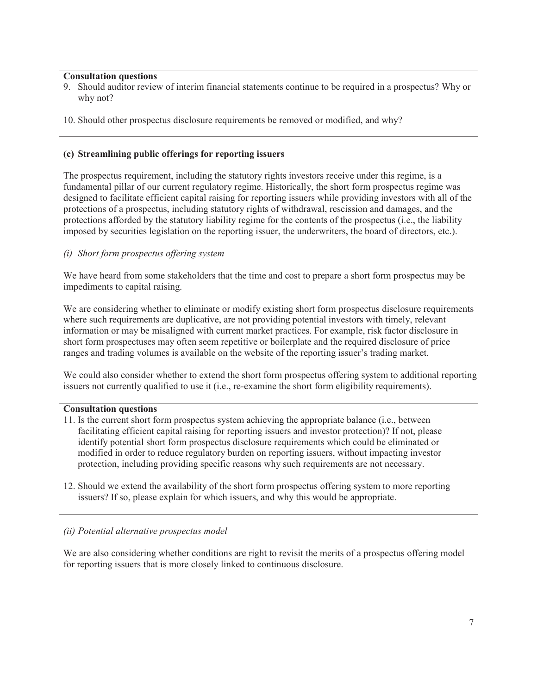## **Consultation questions**

- 9. Should auditor review of interim financial statements continue to be required in a prospectus? Why or why not?
- 10. Should other prospectus disclosure requirements be removed or modified, and why?

# **(c) Streamlining public offerings for reporting issuers**

The prospectus requirement, including the statutory rights investors receive under this regime, is a fundamental pillar of our current regulatory regime. Historically, the short form prospectus regime was designed to facilitate efficient capital raising for reporting issuers while providing investors with all of the protections of a prospectus, including statutory rights of withdrawal, rescission and damages, and the protections afforded by the statutory liability regime for the contents of the prospectus (i.e., the liability imposed by securities legislation on the reporting issuer, the underwriters, the board of directors, etc.).

# *(i) Short form prospectus offering system*

We have heard from some stakeholders that the time and cost to prepare a short form prospectus may be impediments to capital raising.

We are considering whether to eliminate or modify existing short form prospectus disclosure requirements where such requirements are duplicative, are not providing potential investors with timely, relevant information or may be misaligned with current market practices. For example, risk factor disclosure in short form prospectuses may often seem repetitive or boilerplate and the required disclosure of price ranges and trading volumes is available on the website of the reporting issuer's trading market.

We could also consider whether to extend the short form prospectus offering system to additional reporting issuers not currently qualified to use it (i.e., re-examine the short form eligibility requirements).

## **Consultation questions**

- 11. Is the current short form prospectus system achieving the appropriate balance (i.e., between facilitating efficient capital raising for reporting issuers and investor protection)? If not, please identify potential short form prospectus disclosure requirements which could be eliminated or modified in order to reduce regulatory burden on reporting issuers, without impacting investor protection, including providing specific reasons why such requirements are not necessary.
- 12. Should we extend the availability of the short form prospectus offering system to more reporting issuers? If so, please explain for which issuers, and why this would be appropriate.

# *(ii) Potential alternative prospectus model*

We are also considering whether conditions are right to revisit the merits of a prospectus offering model for reporting issuers that is more closely linked to continuous disclosure.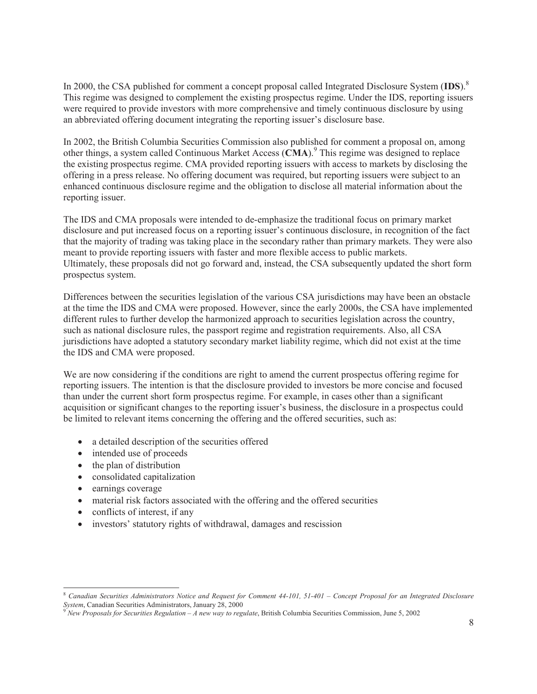In 2000, the CSA published for comment a concept proposal called Integrated Disclosure System (**IDS**).<sup>8</sup> This regime was designed to complement the existing prospectus regime. Under the IDS, reporting issuers were required to provide investors with more comprehensive and timely continuous disclosure by using an abbreviated offering document integrating the reporting issuer's disclosure base.

In 2002, the British Columbia Securities Commission also published for comment a proposal on, among other things, a system called Continuous Market Access (CMA).<sup>9</sup> This regime was designed to replace the existing prospectus regime. CMA provided reporting issuers with access to markets by disclosing the offering in a press release. No offering document was required, but reporting issuers were subject to an enhanced continuous disclosure regime and the obligation to disclose all material information about the reporting issuer.

The IDS and CMA proposals were intended to de-emphasize the traditional focus on primary market disclosure and put increased focus on a reporting issuer's continuous disclosure, in recognition of the fact that the majority of trading was taking place in the secondary rather than primary markets. They were also meant to provide reporting issuers with faster and more flexible access to public markets. Ultimately, these proposals did not go forward and, instead, the CSA subsequently updated the short form prospectus system.

Differences between the securities legislation of the various CSA jurisdictions may have been an obstacle at the time the IDS and CMA were proposed. However, since the early 2000s, the CSA have implemented different rules to further develop the harmonized approach to securities legislation across the country, such as national disclosure rules, the passport regime and registration requirements. Also, all CSA jurisdictions have adopted a statutory secondary market liability regime, which did not exist at the time the IDS and CMA were proposed.

We are now considering if the conditions are right to amend the current prospectus offering regime for reporting issuers. The intention is that the disclosure provided to investors be more concise and focused than under the current short form prospectus regime. For example, in cases other than a significant acquisition or significant changes to the reporting issuer's business, the disclosure in a prospectus could be limited to relevant items concerning the offering and the offered securities, such as:

- a detailed description of the securities offered
- intended use of proceeds
- $\bullet$  the plan of distribution
- consolidated capitalization
- $\bullet$  earnings coverage
- material risk factors associated with the offering and the offered securities
- $\bullet$  conflicts of interest, if any
- investors' statutory rights of withdrawal, damages and rescission

<sup>8</sup> *Canadian Securities Administrators Notice and Request for Comment 44-101, 51-401 – Concept Proposal for an Integrated Disclosure System*, Canadian Securities Administrators, January 28, 2000 <sup>9</sup> *New Proposals for Securities Regulation – A new way to regulate*, British Columbia Securities Commission, June 5, 2002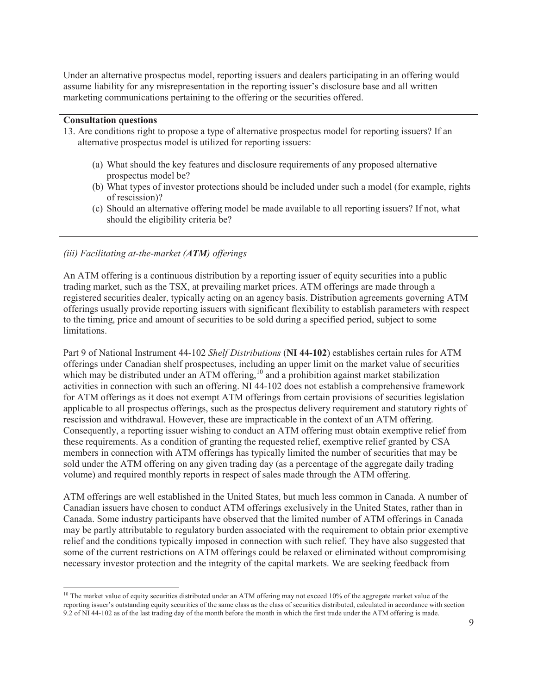Under an alternative prospectus model, reporting issuers and dealers participating in an offering would assume liability for any misrepresentation in the reporting issuer's disclosure base and all written marketing communications pertaining to the offering or the securities offered.

#### **Consultation questions**

- 13. Are conditions right to propose a type of alternative prospectus model for reporting issuers? If an alternative prospectus model is utilized for reporting issuers:
	- (a) What should the key features and disclosure requirements of any proposed alternative prospectus model be?
	- (b) What types of investor protections should be included under such a model (for example, rights of rescission)?
	- (c) Should an alternative offering model be made available to all reporting issuers? If not, what should the eligibility criteria be?

## *(iii) Facilitating at-the-market (ATM) offerings*

An ATM offering is a continuous distribution by a reporting issuer of equity securities into a public trading market, such as the TSX, at prevailing market prices. ATM offerings are made through a registered securities dealer, typically acting on an agency basis. Distribution agreements governing ATM offerings usually provide reporting issuers with significant flexibility to establish parameters with respect to the timing, price and amount of securities to be sold during a specified period, subject to some limitations.

Part 9 of National Instrument 44-102 *Shelf Distributions* (**NI 44-102**) establishes certain rules for ATM offerings under Canadian shelf prospectuses, including an upper limit on the market value of securities which may be distributed under an ATM offering,<sup>10</sup> and a prohibition against market stabilization activities in connection with such an offering. NI 44-102 does not establish a comprehensive framework for ATM offerings as it does not exempt ATM offerings from certain provisions of securities legislation applicable to all prospectus offerings, such as the prospectus delivery requirement and statutory rights of rescission and withdrawal. However, these are impracticable in the context of an ATM offering. Consequently, a reporting issuer wishing to conduct an ATM offering must obtain exemptive relief from these requirements. As a condition of granting the requested relief, exemptive relief granted by CSA members in connection with ATM offerings has typically limited the number of securities that may be sold under the ATM offering on any given trading day (as a percentage of the aggregate daily trading volume) and required monthly reports in respect of sales made through the ATM offering.

ATM offerings are well established in the United States, but much less common in Canada. A number of Canadian issuers have chosen to conduct ATM offerings exclusively in the United States, rather than in Canada. Some industry participants have observed that the limited number of ATM offerings in Canada may be partly attributable to regulatory burden associated with the requirement to obtain prior exemptive relief and the conditions typically imposed in connection with such relief. They have also suggested that some of the current restrictions on ATM offerings could be relaxed or eliminated without compromising necessary investor protection and the integrity of the capital markets. We are seeking feedback from

<sup>&</sup>lt;sup>10</sup> The market value of equity securities distributed under an ATM offering may not exceed 10% of the aggregate market value of the reporting issuer's outstanding equity securities of the same class as the class of securities distributed, calculated in accordance with section 9.2 of NI 44-102 as of the last trading day of the month before the month in which the first trade under the ATM offering is made.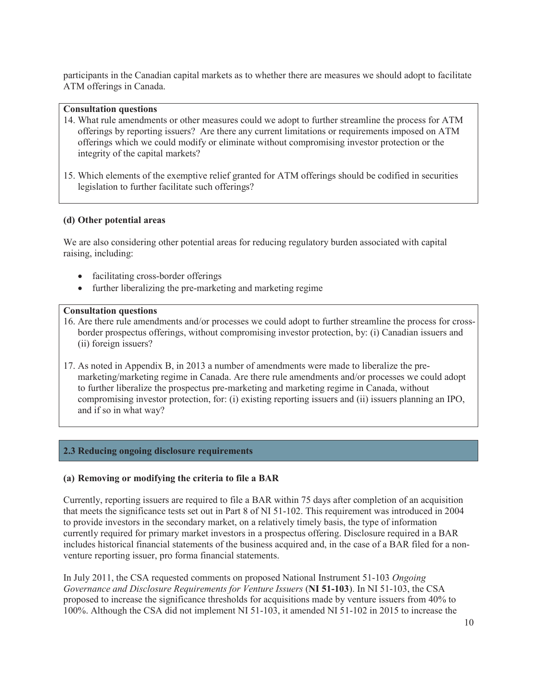participants in the Canadian capital markets as to whether there are measures we should adopt to facilitate ATM offerings in Canada.

#### **Consultation questions**

- 14. What rule amendments or other measures could we adopt to further streamline the process for ATM offerings by reporting issuers? Are there any current limitations or requirements imposed on ATM offerings which we could modify or eliminate without compromising investor protection or the integrity of the capital markets?
- 15. Which elements of the exemptive relief granted for ATM offerings should be codified in securities legislation to further facilitate such offerings?

#### **(d) Other potential areas**

We are also considering other potential areas for reducing regulatory burden associated with capital raising, including:

- facilitating cross-border offerings
- further liberalizing the pre-marketing and marketing regime

#### **Consultation questions**

- 16. Are there rule amendments and/or processes we could adopt to further streamline the process for crossborder prospectus offerings, without compromising investor protection, by: (i) Canadian issuers and (ii) foreign issuers?
- 17. As noted in Appendix B, in 2013 a number of amendments were made to liberalize the premarketing/marketing regime in Canada. Are there rule amendments and/or processes we could adopt to further liberalize the prospectus pre-marketing and marketing regime in Canada, without compromising investor protection, for: (i) existing reporting issuers and (ii) issuers planning an IPO, and if so in what way?

## **2.3 Reducing ongoing disclosure requirements**

## **(a) Removing or modifying the criteria to file a BAR**

Currently, reporting issuers are required to file a BAR within 75 days after completion of an acquisition that meets the significance tests set out in Part 8 of NI 51-102. This requirement was introduced in 2004 to provide investors in the secondary market, on a relatively timely basis, the type of information currently required for primary market investors in a prospectus offering. Disclosure required in a BAR includes historical financial statements of the business acquired and, in the case of a BAR filed for a nonventure reporting issuer, pro forma financial statements.

In July 2011, the CSA requested comments on proposed National Instrument 51-103 *Ongoing Governance and Disclosure Requirements for Venture Issuers* (**NI 51-103**). In NI 51-103, the CSA proposed to increase the significance thresholds for acquisitions made by venture issuers from 40% to 100%. Although the CSA did not implement NI 51-103, it amended NI 51-102 in 2015 to increase the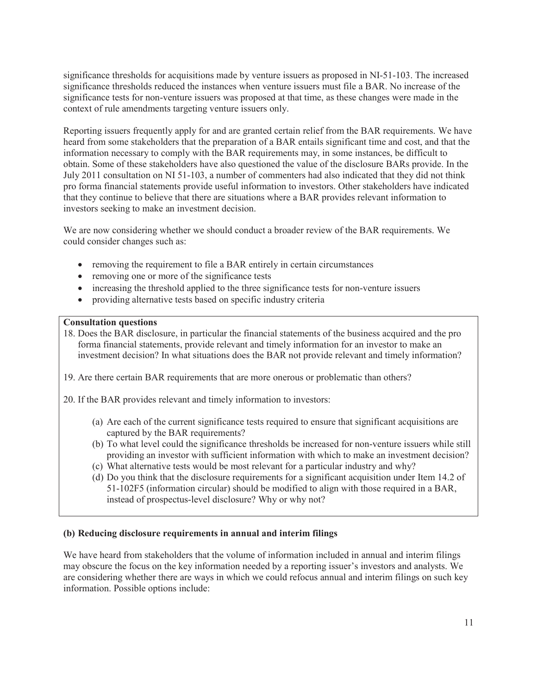significance thresholds for acquisitions made by venture issuers as proposed in NI-51-103. The increased significance thresholds reduced the instances when venture issuers must file a BAR. No increase of the significance tests for non-venture issuers was proposed at that time, as these changes were made in the context of rule amendments targeting venture issuers only.

Reporting issuers frequently apply for and are granted certain relief from the BAR requirements. We have heard from some stakeholders that the preparation of a BAR entails significant time and cost, and that the information necessary to comply with the BAR requirements may, in some instances, be difficult to obtain. Some of these stakeholders have also questioned the value of the disclosure BARs provide. In the July 2011 consultation on NI 51-103, a number of commenters had also indicated that they did not think pro forma financial statements provide useful information to investors. Other stakeholders have indicated that they continue to believe that there are situations where a BAR provides relevant information to investors seeking to make an investment decision.

We are now considering whether we should conduct a broader review of the BAR requirements. We could consider changes such as:

- removing the requirement to file a BAR entirely in certain circumstances
- $\bullet$  removing one or more of the significance tests
- increasing the threshold applied to the three significance tests for non-venture issuers
- providing alternative tests based on specific industry criteria

#### **Consultation questions**

18. Does the BAR disclosure, in particular the financial statements of the business acquired and the pro forma financial statements, provide relevant and timely information for an investor to make an investment decision? In what situations does the BAR not provide relevant and timely information?

19. Are there certain BAR requirements that are more onerous or problematic than others?

20. If the BAR provides relevant and timely information to investors:

- (a) Are each of the current significance tests required to ensure that significant acquisitions are captured by the BAR requirements?
- (b) To what level could the significance thresholds be increased for non-venture issuers while still providing an investor with sufficient information with which to make an investment decision?
- (c) What alternative tests would be most relevant for a particular industry and why?
- (d) Do you think that the disclosure requirements for a significant acquisition under Item 14.2 of 51-102F5 (information circular) should be modified to align with those required in a BAR, instead of prospectus-level disclosure? Why or why not?

## **(b) Reducing disclosure requirements in annual and interim filings**

We have heard from stakeholders that the volume of information included in annual and interim filings may obscure the focus on the key information needed by a reporting issuer's investors and analysts. We are considering whether there are ways in which we could refocus annual and interim filings on such key information. Possible options include: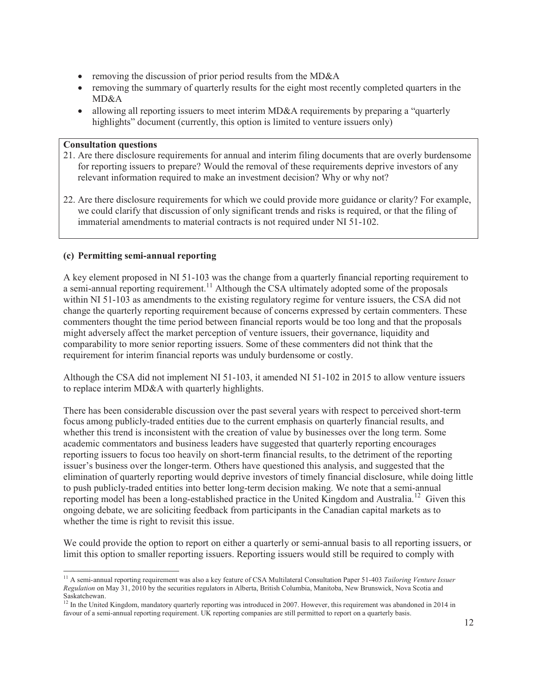- removing the discussion of prior period results from the MD&A
- removing the summary of quarterly results for the eight most recently completed quarters in the MD&A
- $\bullet$  allowing all reporting issuers to meet interim MD&A requirements by preparing a "quarterly" highlights" document (currently, this option is limited to venture issuers only)

#### **Consultation questions**

- 21. Are there disclosure requirements for annual and interim filing documents that are overly burdensome for reporting issuers to prepare? Would the removal of these requirements deprive investors of any relevant information required to make an investment decision? Why or why not?
- 22. Are there disclosure requirements for which we could provide more guidance or clarity? For example, we could clarify that discussion of only significant trends and risks is required, or that the filing of immaterial amendments to material contracts is not required under NI 51-102.

## **(c) Permitting semi-annual reporting**

A key element proposed in NI 51-103 was the change from a quarterly financial reporting requirement to a semi-annual reporting requirement.<sup>11</sup> Although the CSA ultimately adopted some of the proposals within NI 51-103 as amendments to the existing regulatory regime for venture issuers, the CSA did not change the quarterly reporting requirement because of concerns expressed by certain commenters. These commenters thought the time period between financial reports would be too long and that the proposals might adversely affect the market perception of venture issuers, their governance, liquidity and comparability to more senior reporting issuers. Some of these commenters did not think that the requirement for interim financial reports was unduly burdensome or costly.

Although the CSA did not implement NI 51-103, it amended NI 51-102 in 2015 to allow venture issuers to replace interim MD&A with quarterly highlights.

There has been considerable discussion over the past several years with respect to perceived short-term focus among publicly-traded entities due to the current emphasis on quarterly financial results, and whether this trend is inconsistent with the creation of value by businesses over the long term. Some academic commentators and business leaders have suggested that quarterly reporting encourages reporting issuers to focus too heavily on short-term financial results, to the detriment of the reporting issuer's business over the longer-term. Others have questioned this analysis, and suggested that the elimination of quarterly reporting would deprive investors of timely financial disclosure, while doing little to push publicly-traded entities into better long-term decision making. We note that a semi-annual reporting model has been a long-established practice in the United Kingdom and Australia.<sup>12</sup> Given this ongoing debate, we are soliciting feedback from participants in the Canadian capital markets as to whether the time is right to revisit this issue.

We could provide the option to report on either a quarterly or semi-annual basis to all reporting issuers, or limit this option to smaller reporting issuers. Reporting issuers would still be required to comply with

<sup>11</sup> A semi-annual reporting requirement was also a key feature of CSA Multilateral Consultation Paper 51-403 *Tailoring Venture Issuer Regulation* on May 31, 2010 by the securities regulators in Alberta, British Columbia, Manitoba, New Brunswick, Nova Scotia and Saskatchewan.

 $12$  In the United Kingdom, mandatory quarterly reporting was introduced in 2007. However, this requirement was abandoned in 2014 in favour of a semi-annual reporting requirement. UK reporting companies are still permitted to report on a quarterly basis.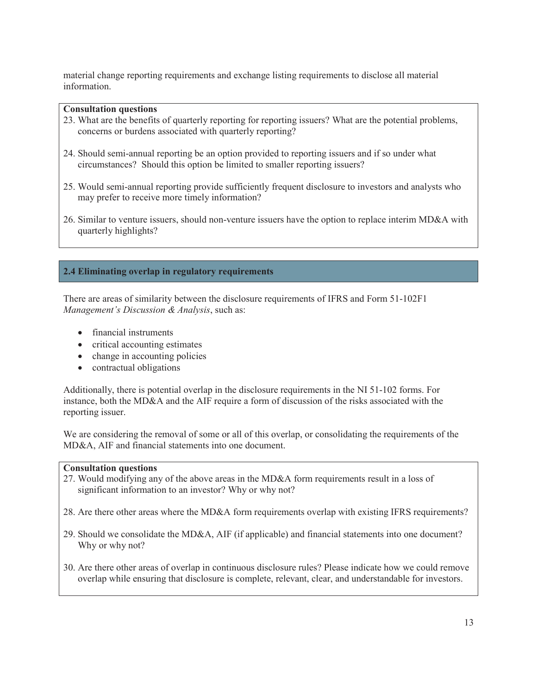material change reporting requirements and exchange listing requirements to disclose all material information.

#### **Consultation questions**

- 23. What are the benefits of quarterly reporting for reporting issuers? What are the potential problems, concerns or burdens associated with quarterly reporting?
- 24. Should semi-annual reporting be an option provided to reporting issuers and if so under what circumstances? Should this option be limited to smaller reporting issuers?
- 25. Would semi-annual reporting provide sufficiently frequent disclosure to investors and analysts who may prefer to receive more timely information?
- 26. Similar to venture issuers, should non-venture issuers have the option to replace interim MD&A with quarterly highlights?

## **2.4 Eliminating overlap in regulatory requirements**

There are areas of similarity between the disclosure requirements of IFRS and Form 51-102F1 *Management's Discussion & Analysis*, such as:

- financial instruments
- $\bullet$  critical accounting estimates
- $\bullet$  change in accounting policies
- $\bullet$  contractual obligations

Additionally, there is potential overlap in the disclosure requirements in the NI 51-102 forms. For instance, both the MD&A and the AIF require a form of discussion of the risks associated with the reporting issuer.

We are considering the removal of some or all of this overlap, or consolidating the requirements of the MD&A, AIF and financial statements into one document.

#### **Consultation questions**

- 27. Would modifying any of the above areas in the MD&A form requirements result in a loss of significant information to an investor? Why or why not?
- 28. Are there other areas where the MD&A form requirements overlap with existing IFRS requirements?
- 29. Should we consolidate the MD&A, AIF (if applicable) and financial statements into one document? Why or why not?
- 30. Are there other areas of overlap in continuous disclosure rules? Please indicate how we could remove overlap while ensuring that disclosure is complete, relevant, clear, and understandable for investors.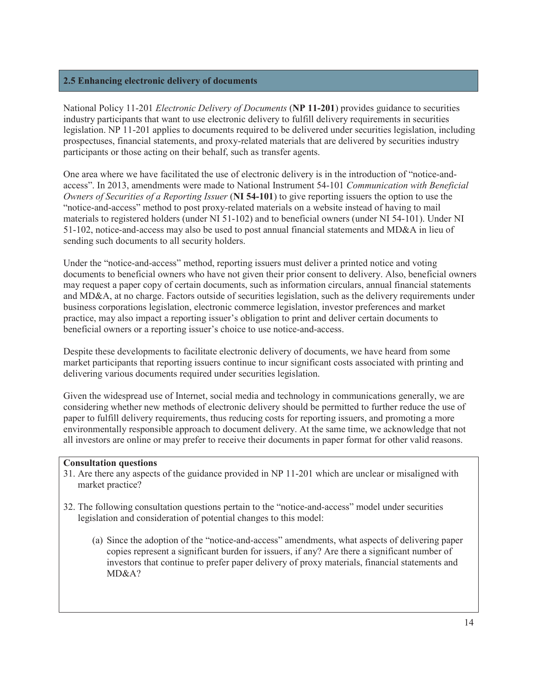#### **2.5 Enhancing electronic delivery of documents**

National Policy 11-201 *Electronic Delivery of Documents* (**NP 11-201**) provides guidance to securities industry participants that want to use electronic delivery to fulfill delivery requirements in securities legislation. NP 11-201 applies to documents required to be delivered under securities legislation, including prospectuses, financial statements, and proxy-related materials that are delivered by securities industry participants or those acting on their behalf, such as transfer agents.

One area where we have facilitated the use of electronic delivery is in the introduction of "notice-andaccess". In 2013, amendments were made to National Instrument 54-101 *Communication with Beneficial Owners of Securities of a Reporting Issuer* (NI 54-101) to give reporting issuers the option to use the "notice-and-access" method to post proxy-related materials on a website instead of having to mail materials to registered holders (under NI 51-102) and to beneficial owners (under NI 54-101). Under NI 51-102, notice-and-access may also be used to post annual financial statements and MD&A in lieu of sending such documents to all security holders.

Under the "notice-and-access" method, reporting issuers must deliver a printed notice and voting documents to beneficial owners who have not given their prior consent to delivery. Also, beneficial owners may request a paper copy of certain documents, such as information circulars, annual financial statements and MD&A, at no charge. Factors outside of securities legislation, such as the delivery requirements under business corporations legislation, electronic commerce legislation, investor preferences and market practice, may also impact a reporting issuer's obligation to print and deliver certain documents to beneficial owners or a reporting issuer's choice to use notice-and-access.

Despite these developments to facilitate electronic delivery of documents, we have heard from some market participants that reporting issuers continue to incur significant costs associated with printing and delivering various documents required under securities legislation.

Given the widespread use of Internet, social media and technology in communications generally, we are considering whether new methods of electronic delivery should be permitted to further reduce the use of paper to fulfill delivery requirements, thus reducing costs for reporting issuers, and promoting a more environmentally responsible approach to document delivery. At the same time, we acknowledge that not all investors are online or may prefer to receive their documents in paper format for other valid reasons.

#### **Consultation questions**

- 31. Are there any aspects of the guidance provided in NP 11-201 which are unclear or misaligned with market practice?
- 32. The following consultation questions pertain to the "notice-and-access" model under securities legislation and consideration of potential changes to this model:
	- (a) Since the adoption of the "notice-and-access" amendments, what aspects of delivering paper copies represent a significant burden for issuers, if any? Are there a significant number of investors that continue to prefer paper delivery of proxy materials, financial statements and MD&A?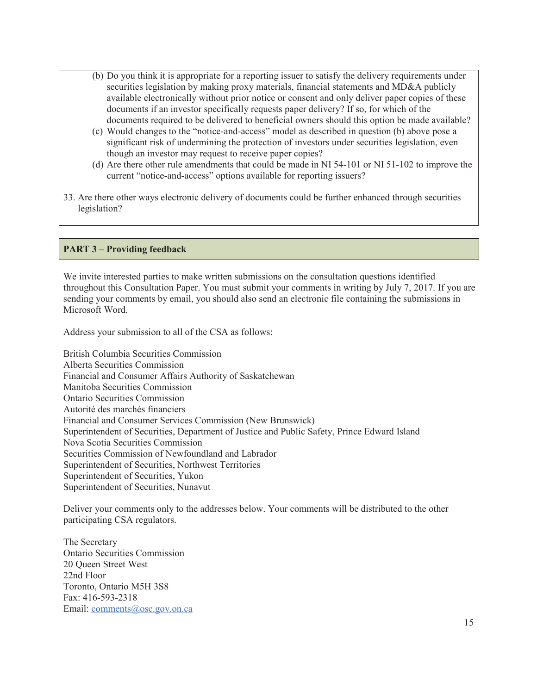- (b) Do you think it is appropriate for a reporting issuer to satisfy the delivery requirements under securities legislation by making proxy materials, financial statements and MD&A publicly available electronically without prior notice or consent and only deliver paper copies of these documents if an investor specifically requests paper delivery? If so, for which of the documents required to be delivered to beneficial owners should this option be made available?
- (c) Would changes to the "notice-and-access" model as described in question (b) above pose a significant risk of undermining the protection of investors under securities legislation, even though an investor may request to receive paper copies?
- (d) Are there other rule amendments that could be made in NI 54-101 or NI 51-102 to improve the current "notice-and-access" options available for reporting issuers?
- 33. Are there other ways electronic delivery of documents could be further enhanced through securities legislation?

## **PART 3 – Providing feedback**

We invite interested parties to make written submissions on the consultation questions identified throughout this Consultation Paper. You must submit your comments in writing by July 7, 2017. If you are sending your comments by email, you should also send an electronic file containing the submissions in Microsoft Word.

Address your submission to all of the CSA as follows:

British Columbia Securities Commission Alberta Securities Commission Financial and Consumer Affairs Authority of Saskatchewan Manitoba Securities Commission Ontario Securities Commission Autorité des marchés financiers Financial and Consumer Services Commission (New Brunswick) Superintendent of Securities, Department of Justice and Public Safety, Prince Edward Island Nova Scotia Securities Commission Securities Commission of Newfoundland and Labrador Superintendent of Securities, Northwest Territories Superintendent of Securities, Yukon Superintendent of Securities, Nunavut

Deliver your comments only to the addresses below. Your comments will be distributed to the other participating CSA regulators.

The Secretary Ontario Securities Commission 20 Queen Street West 22nd Floor Toronto, Ontario M5H 3S8 Fax: 416-593-2318 Email: comments@osc.gov.on.ca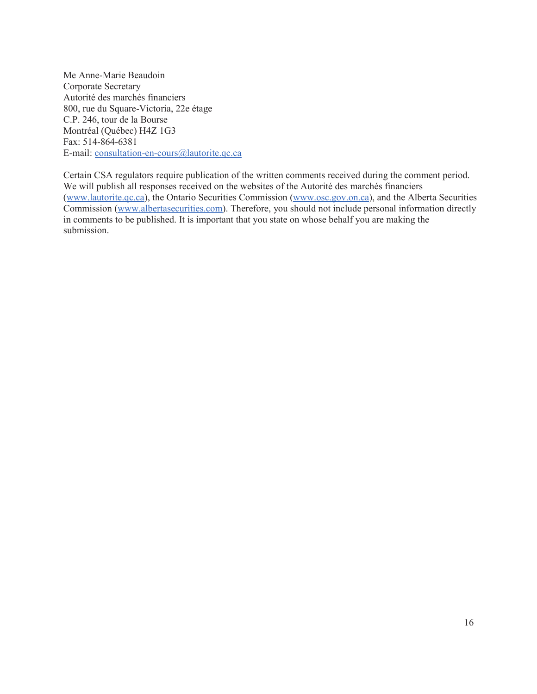Me Anne-Marie Beaudoin Corporate Secretary Autorité des marchés financiers 800, rue du Square-Victoria, 22e étage C.P. 246, tour de la Bourse Montréal (Québec) H4Z 1G3 Fax: 514-864-6381 E-mail: consultation-en-cours@lautorite.qc.ca

Certain CSA regulators require publication of the written comments received during the comment period. We will publish all responses received on the websites of the Autorité des marchés financiers (www.lautorite.qc.ca), the Ontario Securities Commission (www.osc.gov.on.ca), and the Alberta Securities Commission (www.albertasecurities.com). Therefore, you should not include personal information directly in comments to be published. It is important that you state on whose behalf you are making the submission.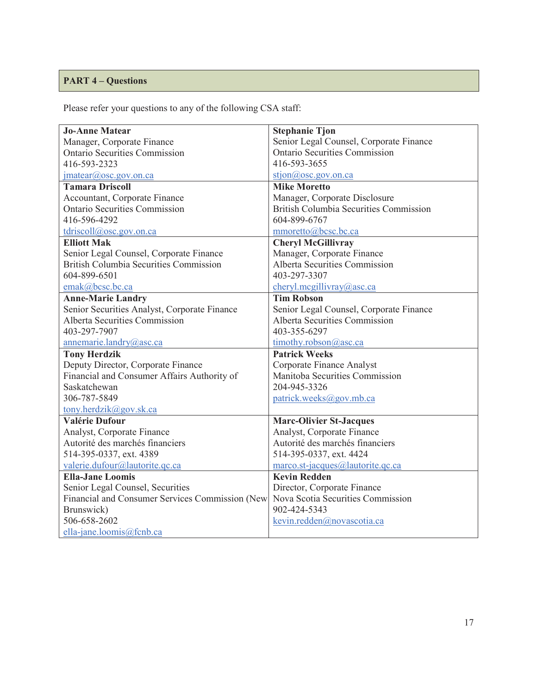# **PART 4 – Questions**

Please refer your questions to any of the following CSA staff:

| <b>Jo-Anne Matear</b>                           | <b>Stephanie Tjon</b>                                               |  |
|-------------------------------------------------|---------------------------------------------------------------------|--|
| Manager, Corporate Finance                      | Senior Legal Counsel, Corporate Finance                             |  |
| <b>Ontario Securities Commission</b>            | <b>Ontario Securities Commission</b>                                |  |
| 416-593-2323                                    | 416-593-3655                                                        |  |
| $j$ matear@osc.gov.on.ca                        | $\frac{\text{stion}(a) \text{osc.gov.in.ca}}{\text{osc.gov.in.ca}}$ |  |
| <b>Tamara Driscoll</b>                          | <b>Mike Moretto</b>                                                 |  |
| Accountant, Corporate Finance                   | Manager, Corporate Disclosure                                       |  |
| <b>Ontario Securities Commission</b>            | <b>British Columbia Securities Commission</b>                       |  |
| 416-596-4292                                    | 604-899-6767                                                        |  |
| tdriscoll@osc.govon.ca                          | mmoretto@bcsc.bc.ca                                                 |  |
| <b>Elliott Mak</b>                              | <b>Cheryl McGillivray</b>                                           |  |
| Senior Legal Counsel, Corporate Finance         | Manager, Corporate Finance                                          |  |
| <b>British Columbia Securities Commission</b>   | Alberta Securities Commission                                       |  |
| 604-899-6501                                    | 403-297-3307                                                        |  |
| emak@bcsc.bc.ca                                 | cheryl.mcgillivray@asc.ca                                           |  |
| <b>Anne-Marie Landry</b>                        | <b>Tim Robson</b>                                                   |  |
| Senior Securities Analyst, Corporate Finance    | Senior Legal Counsel, Corporate Finance                             |  |
| <b>Alberta Securities Commission</b>            | Alberta Securities Commission                                       |  |
| 403-297-7907                                    | 403-355-6297                                                        |  |
| annemarie.landry@asc.ca                         | timothy.robson@asc.ca                                               |  |
| <b>Tony Herdzik</b>                             | <b>Patrick Weeks</b>                                                |  |
| Deputy Director, Corporate Finance              | Corporate Finance Analyst                                           |  |
| Financial and Consumer Affairs Authority of     | Manitoba Securities Commission                                      |  |
| Saskatchewan                                    | 204-945-3326                                                        |  |
| 306-787-5849                                    | patrick.weeks@gov.mb.ca                                             |  |
| tony.herdzik@gov.sk.ca                          |                                                                     |  |
| <b>Valérie Dufour</b>                           | <b>Marc-Olivier St-Jacques</b>                                      |  |
| Analyst, Corporate Finance                      | Analyst, Corporate Finance                                          |  |
| Autorité des marchés financiers                 | Autorité des marchés financiers                                     |  |
| 514-395-0337, ext. 4389                         | 514-395-0337, ext. 4424                                             |  |
| valerie.dufour@lautorite.qc.ca                  | marco.st-jacques@lautorite.qc.ca                                    |  |
| <b>Ella-Jane Loomis</b>                         | <b>Kevin Redden</b>                                                 |  |
| Senior Legal Counsel, Securities                | Director, Corporate Finance                                         |  |
| Financial and Consumer Services Commission (New | Nova Scotia Securities Commission                                   |  |
| Brunswick)                                      | 902-424-5343                                                        |  |
| 506-658-2602                                    | kevin.redden@novascotia.ca                                          |  |
| ella-jane.loomis@fcnb.ca                        |                                                                     |  |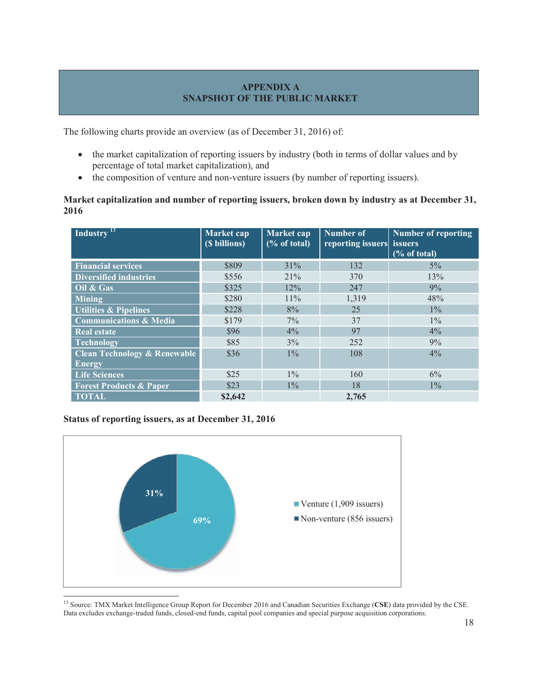# **APPENDIX A SNAPSHOT OF THE PUBLIC MARKET**

The following charts provide an overview (as of December 31, 2016) of:

- the market capitalization of reporting issuers by industry (both in terms of dollar values and by percentage of total market capitalization), and
- the composition of venture and non-venture issuers (by number of reporting issuers).

## **Market capitalization and number of reporting issuers, broken down by industry as at December 31, 2016**

| Industry <sup>13</sup>                  | Market cap<br>(\$ billions) | Market cap<br>% of total | <b>Number of</b><br>reporting issuers issuers | <b>Number of reporting</b><br>$(\%$ of total) |
|-----------------------------------------|-----------------------------|--------------------------|-----------------------------------------------|-----------------------------------------------|
| <b>Financial services</b>               | \$809                       | 31%                      | 132                                           | $5\%$                                         |
| <b>Diversified industries</b>           | \$556                       | 21%                      | 370                                           | 13%                                           |
| Oil & Gas                               | \$325                       | 12%                      | 247                                           | 9%                                            |
| Mining                                  | \$280                       | $11\%$                   | 1,319                                         | 48%                                           |
| <b>Utilities &amp; Pipelines</b>        | \$228                       | 8%                       | 25                                            | $1\%$                                         |
| <b>Communications &amp; Media</b>       | \$179                       | $7\%$                    | 37                                            | $1\%$                                         |
| <b>Real estate</b>                      | \$96                        | $4\%$                    | 97                                            | $4\%$                                         |
| <b>Technology</b>                       | \$85                        | 3%                       | 252                                           | 9%                                            |
| <b>Clean Technology &amp; Renewable</b> | \$36                        | $1\%$                    | 108                                           | 4%                                            |
| <b>Energy</b>                           |                             |                          |                                               |                                               |
| <b>Life Sciences</b>                    | \$25                        | $1\%$                    | 160                                           | 6%                                            |
| <b>Forest Products &amp; Paper</b>      | \$23                        | $1\%$                    | 18                                            | $1\%$                                         |
| <b>TOTAL</b>                            | \$2,642                     |                          | 2.765                                         |                                               |

# **Status of reporting issuers, as at December 31, 2016**



<sup>13</sup> Source: TMX Market Intelligence Group Report for December 2016 and Canadian Securities Exchange (**CSE**) data provided by the CSE. Data excludes exchange-traded funds, closed-end funds, capital pool companies and special purpose acquisition corporations.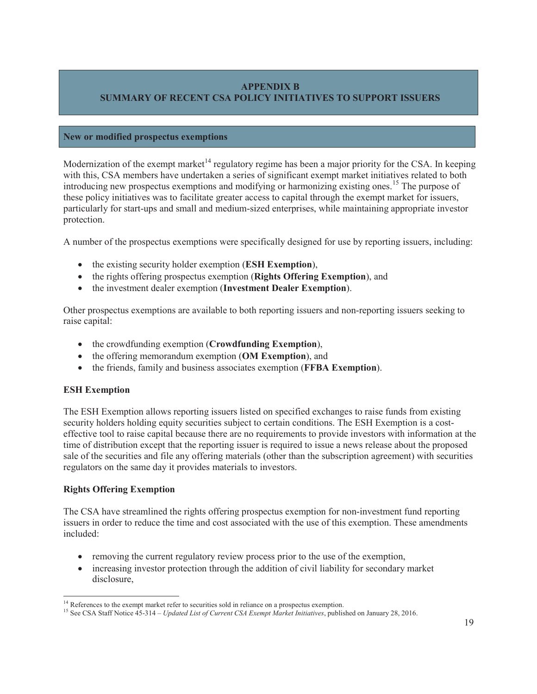## **APPENDIX B SUMMARY OF RECENT CSA POLICY INITIATIVES TO SUPPORT ISSUERS**

#### **New or modified prospectus exemptions**

Modernization of the exempt market<sup> $14$ </sup> regulatory regime has been a major priority for the CSA. In keeping with this, CSA members have undertaken a series of significant exempt market initiatives related to both introducing new prospectus exemptions and modifying or harmonizing existing ones.<sup>15</sup> The purpose of these policy initiatives was to facilitate greater access to capital through the exempt market for issuers, particularly for start-ups and small and medium-sized enterprises, while maintaining appropriate investor protection.

A number of the prospectus exemptions were specifically designed for use by reporting issuers, including:

- x the existing security holder exemption (**ESH Exemption**),
- x the rights offering prospectus exemption (**Rights Offering Exemption**), and
- x the investment dealer exemption (**Investment Dealer Exemption**).

Other prospectus exemptions are available to both reporting issuers and non-reporting issuers seeking to raise capital:

- the crowdfunding exemption (**Crowdfunding Exemption**),
- the offering memorandum exemption (**OM Exemption**), and
- x the friends, family and business associates exemption (**FFBA Exemption**).

## **ESH Exemption**

The ESH Exemption allows reporting issuers listed on specified exchanges to raise funds from existing security holders holding equity securities subject to certain conditions. The ESH Exemption is a costeffective tool to raise capital because there are no requirements to provide investors with information at the time of distribution except that the reporting issuer is required to issue a news release about the proposed sale of the securities and file any offering materials (other than the subscription agreement) with securities regulators on the same day it provides materials to investors.

## **Rights Offering Exemption**

The CSA have streamlined the rights offering prospectus exemption for non-investment fund reporting issuers in order to reduce the time and cost associated with the use of this exemption. These amendments included:

- removing the current regulatory review process prior to the use of the exemption,
- increasing investor protection through the addition of civil liability for secondary market disclosure,

<sup>&</sup>lt;sup>14</sup> References to the exempt market refer to securities sold in reliance on a prospectus exemption.<br><sup>15</sup> See CSA Staff Notice 45-314 – *Updated List of Current CSA Exempt Market Initiatives*, published on January 28, 2016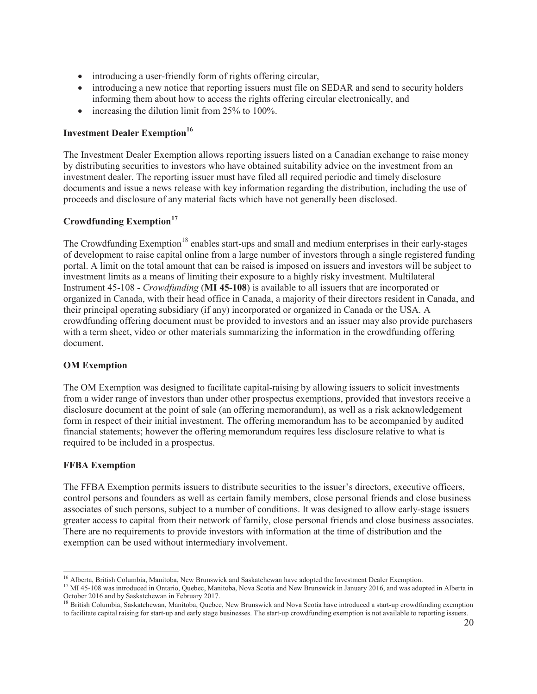- introducing a user-friendly form of rights offering circular,
- introducing a new notice that reporting issuers must file on SEDAR and send to security holders informing them about how to access the rights offering circular electronically, and
- increasing the dilution limit from  $25\%$  to  $100\%$ .

## **Investment Dealer Exemption<sup>16</sup>**

The Investment Dealer Exemption allows reporting issuers listed on a Canadian exchange to raise money by distributing securities to investors who have obtained suitability advice on the investment from an investment dealer. The reporting issuer must have filed all required periodic and timely disclosure documents and issue a news release with key information regarding the distribution, including the use of proceeds and disclosure of any material facts which have not generally been disclosed.

# **Crowdfunding Exemption<sup>17</sup>**

The Crowdfunding Exemption<sup>18</sup> enables start-ups and small and medium enterprises in their early-stages of development to raise capital online from a large number of investors through a single registered funding portal. A limit on the total amount that can be raised is imposed on issuers and investors will be subject to investment limits as a means of limiting their exposure to a highly risky investment. Multilateral Instrument 45-108 - *Crowdfunding* (**MI 45-108**) is available to all issuers that are incorporated or organized in Canada, with their head office in Canada, a majority of their directors resident in Canada, and their principal operating subsidiary (if any) incorporated or organized in Canada or the USA. A crowdfunding offering document must be provided to investors and an issuer may also provide purchasers with a term sheet, video or other materials summarizing the information in the crowdfunding offering document.

## **OM Exemption**

The OM Exemption was designed to facilitate capital-raising by allowing issuers to solicit investments from a wider range of investors than under other prospectus exemptions, provided that investors receive a disclosure document at the point of sale (an offering memorandum), as well as a risk acknowledgement form in respect of their initial investment. The offering memorandum has to be accompanied by audited financial statements; however the offering memorandum requires less disclosure relative to what is required to be included in a prospectus.

## **FFBA Exemption**

The FFBA Exemption permits issuers to distribute securities to the issuer's directors, executive officers, control persons and founders as well as certain family members, close personal friends and close business associates of such persons, subject to a number of conditions. It was designed to allow early-stage issuers greater access to capital from their network of family, close personal friends and close business associates. There are no requirements to provide investors with information at the time of distribution and the exemption can be used without intermediary involvement.

<sup>&</sup>lt;sup>16</sup> Alberta, British Columbia, Manitoba, New Brunswick and Saskatchewan have adopted the Investment Dealer Exemption.<br><sup>17</sup> MI 45-108 was introduced in Ontario, Quebec, Manitoba, Nova Scotia and New Brunswick in January 2

October 2016 and by Saskatchewan in February 2017.

<sup>&</sup>lt;sup>18</sup> British Columbia, Saskatchewan, Manitoba, Quebec, New Brunswick and Nova Scotia have introduced a start-up crowdfunding exemption to facilitate capital raising for start-up and early stage businesses. The start-up crowdfunding exemption is not available to reporting issuers.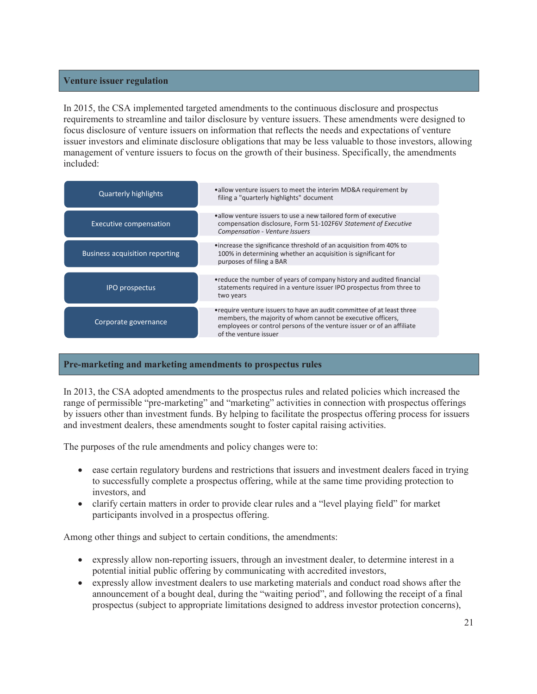#### **Venture issuer regulation**

In 2015, the CSA implemented targeted amendments to the continuous disclosure and prospectus requirements to streamline and tailor disclosure by venture issuers. These amendments were designed to focus disclosure of venture issuers on information that reflects the needs and expectations of venture issuer investors and eliminate disclosure obligations that may be less valuable to those investors, allowing management of venture issuers to focus on the growth of their business. Specifically, the amendments included:

| <b>Quarterly highlights</b>           | •allow venture issuers to meet the interim MD&A requirement by<br>filing a "quarterly highlights" document                                                                                                                              |
|---------------------------------------|-----------------------------------------------------------------------------------------------------------------------------------------------------------------------------------------------------------------------------------------|
| <b>Executive compensation</b>         | •allow venture issuers to use a new tailored form of executive<br>compensation disclosure, Form 51-102F6V Statement of Executive<br>Compensation - Venture Issuers                                                                      |
| <b>Business acquisition reporting</b> | • increase the significance threshold of an acquisition from 40% to<br>100% in determining whether an acquisition is significant for<br>purposes of filing a BAR                                                                        |
| <b>IPO</b> prospectus                 | • reduce the number of years of company history and audited financial<br>statements required in a venture issuer IPO prospectus from three to<br>two years                                                                              |
| Corporate governance                  | • require venture issuers to have an audit committee of at least three<br>members, the majority of whom cannot be executive officers,<br>employees or control persons of the venture issuer or of an affiliate<br>of the venture issuer |

# **Pre-marketing and marketing amendments to prospectus rules**

In 2013, the CSA adopted amendments to the prospectus rules and related policies which increased the range of permissible "pre-marketing" and "marketing" activities in connection with prospectus offerings by issuers other than investment funds. By helping to facilitate the prospectus offering process for issuers and investment dealers, these amendments sought to foster capital raising activities.

The purposes of the rule amendments and policy changes were to:

- ease certain regulatory burdens and restrictions that issuers and investment dealers faced in trying to successfully complete a prospectus offering, while at the same time providing protection to investors, and
- clarify certain matters in order to provide clear rules and a "level playing field" for market participants involved in a prospectus offering.

Among other things and subject to certain conditions, the amendments:

- expressly allow non-reporting issuers, through an investment dealer, to determine interest in a potential initial public offering by communicating with accredited investors,
- x expressly allow investment dealers to use marketing materials and conduct road shows after the announcement of a bought deal, during the "waiting period", and following the receipt of a final prospectus (subject to appropriate limitations designed to address investor protection concerns),